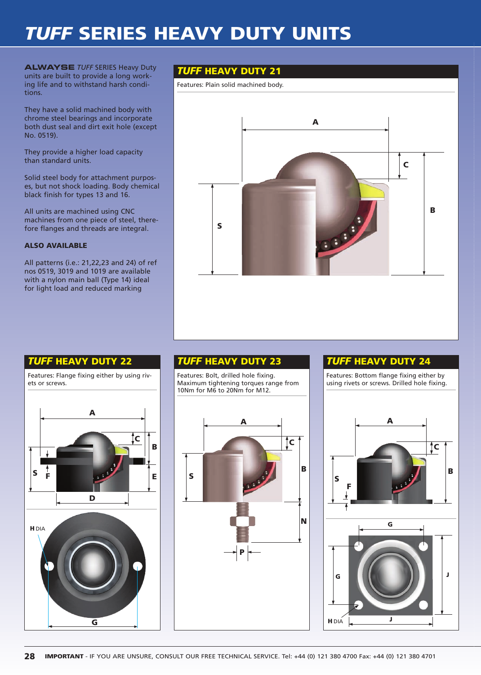# *TUFF* **SERIES HEAVY DUTY UNITS**

**ALWAYSE** TUFF SERIES Heavy Duty **TUFF HEAVY DUTY 21** units are built to provide a long working life and to withstand harsh conditions.

They have a solid machined body with chrome steel bearings and incorporate both dust seal and dirt exit hole (except No. 0519).

They provide a higher load capacity than standard units.

Solid steel body for attachment purposes, but not shock loading. Body chemical black finish for types 13 and 16.

All units are machined using CNC machines from one piece of steel, therefore flanges and threads are integral.

### **ALSO AVAILABLE**

All patterns (i.e.: 21,22,23 and 24) of ref nos 0519, 3019 and 1019 are available with a nylon main ball (Type 14) ideal for light load and reduced marking

Features: Plain solid machined body.



## *TUFF* **HEAVY DUTY 22**

Features: Flange fixing either by using rivets or screws.



Features: Bolt, drilled hole fixing. Maximum tightening torques range from 10Nm for M6 to 20Nm for M12.



### *TUFF* **HEAVY DUTY 23** *TUFF* **HEAVY DUTY 24**

Features: Bottom flange fixing either by using rivets or screws. Drilled hole fixing. **A B C S F G G J J**